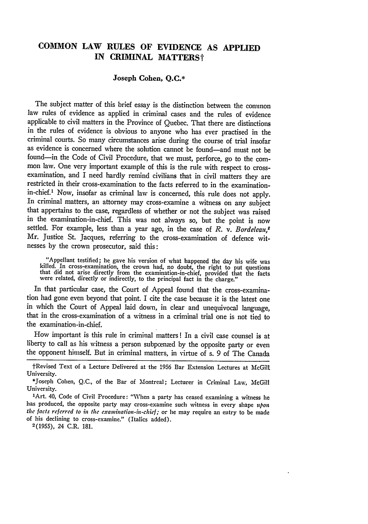## **COMMON LAW RULES OF EVIDENCE AS APPLIED IN CRIMINAL MATTERSt**

## **Joseph Cohen, Q.C.\***

The subject matter of this brief essay is the distinction between the common law rules of evidence as applied in criminal cases and the rules of evidence applicable to civil matters in the Province of Quebec. That there are distinctions in the rules of evidence is obvious to anyone who has ever practised in the criminal courts. So many circumstances arise during the course of trial insofar as evidence is concerned where the solution cannot be found-and must not be found-in the Code of Civil Procedure, that we must, perforce, go to the common law. One very important example of this is the rule with respect to crossexamination, and I need hardly remind civilians that in civil matters they are restricted in their cross-examination to the facts referred to in the examinationin-chief.' Now, insofar as criminal law is concerned, this rule does not apply. In criminal matters, an attorney may cross-examine a witness on any subject that appertains to the case, regardless of whether or not the subject was raised in the examination-in-chief. This was not always so, but the point is now settled. For example, less than a year ago, in the case of *R. v. Bordeleau,* Mr. Justice St. Jacques, referring to the cross-examination of defence witnesses by the crown prosecutor, said this:

"Appellant testified; he gave his version of what happened the day his wife was killed. In cross-examination, the crown had, no doubt, the right to put questions that did not arise directly from the examination-in-chief, p

In that particular case, the Court of Appeal found that the cross-examination had gone even beyond that point. I cite the case because it is the latest one in which the Court of Appeal laid down, in clear and unequivocal language, that in the cross-examination of a witness in a criminal trial one is not tied to the examination-in-chief.

How important is this rule in criminal matters! In a civil case counsel is at liberty to call as his witness a person subpœnæd by the opposite party or even the opponent himself. But in criminal matters, in virtue of s. 9 of The Canada

<sup>†</sup>Revised Text of a Lecture Delivered at the 1956 Bar Extension Lectures at McGill University.<br>\*Joseph Cohen, Q.C., of the Bar of Montreal; Lecturer in Criminal Law, McGill

University. <sup>1</sup>

Art. 40, Code of Civil Procedure: "When a party has ceased examining a witness he has produced, the opposite party may cross-examine such witness in every shape *upon* the facts referred to in the examination-in-chief; or he may require an entry to be made of his declining to cross-examine." (Italics added). 2(1955), 24 C.R. 181.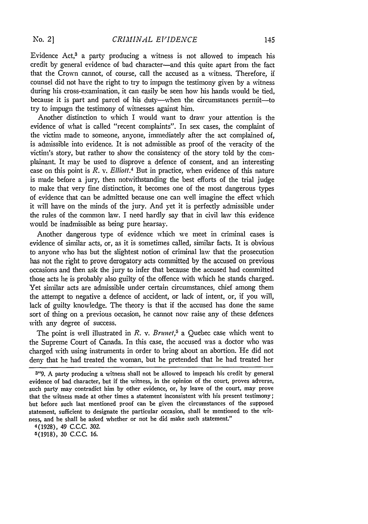*N'o. 21*

Evidence Act,<sup>3</sup> a party producing a witness is not allowed to impeach his credit by general evidence of bad character-and this quite apart from the fact that the Crown cannot, of course, call the accused as a witness. Therefore, if counsel did not have the right to try to impugn the testimony given by a witness during his cross-examination, it can easily be seen how his hands would be tied, because it is part and parcel of his duty—when the circumstances permit—to try to impugn the testimony of witnesses against him.

Another distinction to which I would want to draw your attention is the evidence of what is called "recent complaints". In sex cases, the complaint of the victim made to someone, anyone, immediately after the act complained of, is admissible into evidence. It is not admissible as proof of the veracity of the victim's story, but rather to show the consistency of the story told **by** the complainant. It may be used to disprove a defence of consent, and an interesting case on this point is *R.* v. *Elliott.4* But in practice, when evidence of this nature is made before a jury, then notwithstanding the best efforts of the trial judge to make that very fine distinction, it becomes one of the most dangerous types of evidence that can be admitted because one can well imagine the effect which it will have on the minds of the jury. And yet it is perfectly admissible under the rules of the common law. I need hardly say that in civil law this evidence would be inadmissible as being pure hearsay.

Another dangerous type of evidence which we meet in criminal cases is evidence of similar acts, or, as it is sometimes called, similar facts. It is obvious to anyone who has but the slightest notion of criminal law that the prosecution has not the right to prove derogatory acts committed **by** the accused on previous occasions and then ask the jury to infer that because the accused had committed those acts he is probably also guilty of the offence with which he stands charged. Yet similar acts are admissible under certain circumstances, chief among them the attempt to negative a defence of accident, or lack of intent, or, if you will, lack of guilty knowledge. The theory is that if the accused has done the same sort of thing on a previous occasion, he cannot now raise any of these defences with any degree of success.

The point is well illustrated in *R*. *v. Brunet*,<sup>5</sup> a Quebec case which went to the Supreme Court of Canada. In this case, the accused was a doctor who was charged with using instruments in order to bring about an abortion. He did not deny that he had treated the woman, but he pretended that he had treated her

4(1928), 49 **C.C.C. 302.**

5(1918), 30 C.C.C. **16.**

**<sup>&</sup>quot;9.** A party producing a witness shall not be allowed to impeach his credit by general evidence of bad character, but if the witness, in the opinion of the court, proves adverse, such party may contradict him **by** other evidence, or, **by** leave of the court, may prove that the witness made at other times a statement inconsistent with his present testimony; but before such last mentioned proof can be given the circumstances of the supposed statement, sufficient to designate the particular occasion, shall be mentioned to the witness, and he shall be asked whether or not he did make such statement."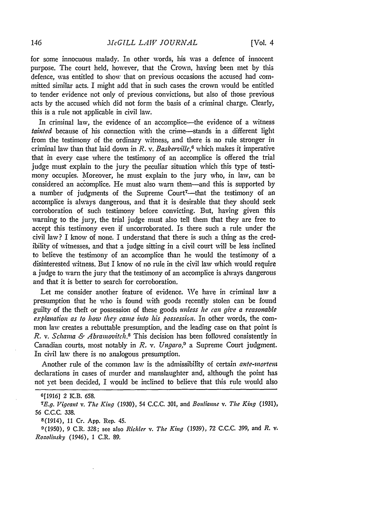for some innocuous malady. In other words, his was a defence of innocent purpose. The court held, however, that the Crown, having been met by this defence, was entitled to show that on previous occasions the accused had committed similar acts. I might add that in such cases the crown would be entitled to tender evidence not only of previous convictions, but also of those previous acts by the accused which did not form the basis of a criminal charge. Clearly, this is a rule not applicable in civil law.

In criminal law, the evidence of an accomplice-the evidence of a witness *tainted* because of his connection with the crime-stands in a different light from the testimony of the ordinary witness, and there is no rule stronger in criminal law than that laid down in *R.* v. *Baskerville,6* which makes it imperative that in every case where the testimony of an accomplice is offered the trial judge must explain to the jury the peculiar situation which this type of testimony occupies. Moreover, he must explain to the jury who, in law, can **be** considered an accomplice. He must also warn them-and this is supported by a number of judgments of the Supreme Court<sup>7</sup>-that the testimony of an accomplice is always dangerous, and that it is desirable that they should seek corroboration of such testimony before convicting. But, having given this warning to the jury, the trial judge must also tell them that they are free to accept this testimony even if uncorroborated. Is there such a rule under the civil law? I know of none. I understand that there is such a thing as the credibility of witnesses, and that a judge sitting in a civil court will be less inclined to believe the testimony of an accomplice than he would the testimony of a disinterested witness. But I know of no rule in the civil law which would require a judge to warn the jury that the testimony of an accomplice is always dangerous and that it is better to search for corroboration.

Let me consider another feature of evidence. We have in criminal law a presumption that he who is found with goods recently stolen can be found guilty of the theft or possession of these goods *wnless he can give a reasonable explanation as to how they came into his possession.* In other words, the common law creates a rebuttable presumption, and the leading case on that point is *R. v. Schama & Abramovitch.<sup>8</sup>* This decision has been followed consistently in Canadian courts, most notably in *R.* v. *Ungaro,9* a Supreme Court judgment. In civil law there is no analogous presumption.

Another rule of the common law is the admissibility of certain *ante-inortem* declarations in cases of murder and manslaughter and, although the point has not yet been decided, I would be inclined to believe that this rule would also

**<sup>6[1916]</sup>** 2 K.B. 658.

*<sup>7</sup>E.g. Vigeant v. The King* (1930), 54 C.C.C. 301, and *Boidianne v. The King (1931),* 56 C.C.C. 338.

<sup>8(1914), 11</sup> Cr. App. Rep. 45.

<sup>9(1950), 9</sup> C.R. 328; see also *Richter v. The King* (1939), 72 C.C.C. 399, and *R.* v. *Rozolinsky* (1946), 1 C.R. 89.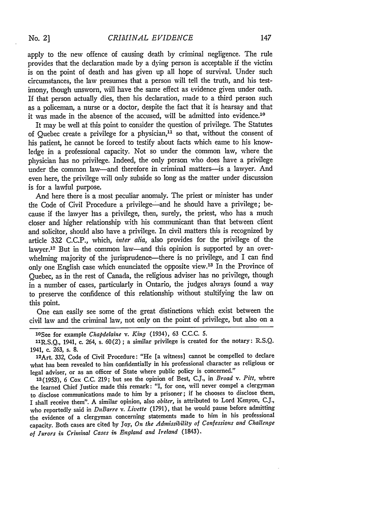apply to the new offence of causing death by criminal negligence. The rule provides that the declaration made by a dying person is acceptable if the victim is on the point of death and has given up all hope of survival. Under such circumstances, the law presumes that a person will tell the truth, and his testimony, though unsworn, will have the same effect as evidence given under oath. If that person actually dies, then his declaration, made to a third person such as a policeman, a nurse or a doctor, despite the fact that it is hearsay and that it was made in the absence of the accused, will be admitted into evidence.<sup>10</sup>

It may be well at this point to consider the question of privilege. The Statutes of Quebec create a privilege for a physician, $11$  so that, without the consent of his patient, he cannot be forced to testify about facts which came to his knowledge in a professional capacity. Not so under the common law, where the physician has no privilege. Indeed, the only person who does have a privilege under the common law-and therefore in criminal matters-is a lawyer. And even here, the privilege will only subside so long as the matter under discussion is for a lawful purpose.

And here there is a most peculiar anomaly. The priest or minister has under the Code of Civil Procedure a privilege—and he should have a privilege; because if the lawyer has a privilege, then, surely, the priest, who has a much closer and higher relationship with his communicant than that between client and solicitor, should also have a privilege. In civil matters this is recognized by article 332 C.C.P., which, inter *alia,* also provides for the privilege of the lawyer.<sup>12</sup> But in the common law-and this opinion is supported by an overwhelming majority of the jurisprudence—there is no privilege, and I can find only one English case which enunciated the opposite view.13 In the Province of Quebec, as in the rest of Canada, the religious adviser has no privilege, though in a number of cases, particularly in Ontario, the judges always found a way to preserve the confidence of this relationship without stultifying the law on this point.

One can easily see some of the great distinctions which exist between the civil law and the criminal law, not only on the point of privilege, but also on a

13(1953), 6 Cox C.C. 219; but see the opinion of Best, **C.J.,** in *Broad v.* Pitt, where the learned Chief Justice made this remark: "I, for one, will never compel a clergyman to disclose communications made to him by a prisoner; if he chooses to disclose them, I shall receive them". A similar opinion, also *obiter,* is attributed to Lord Kenyon, C.J., who reportedly said in DuBarre *v. Livette* (1791), that he would pause before admitting the evidence of a clergyman concerning statements made to him in his professional capacity. Both cases are cited by Joy, *On the Admissibility of Confessions and Challenge of Jurors it Crininal Cases in England and Ireland* (1843).

<sup>1</sup> 0See for example *Chapdelabie v. King* (1934), 63 C.C.C. **5.**

 $11R.S.Q., 1941, c. 264, s. 60(2); a similar private is created for the notary: R.S.Q.$ 1941, c. 263, s. **8.**

<sup>1</sup> 2 Art. 332, Code of Civil Procedure: "He [a witness] cannot be compelled to declare what has been revealed to him confidentially in his professional character as religious or legal adviser, or as an officer of State where public policy is concerned."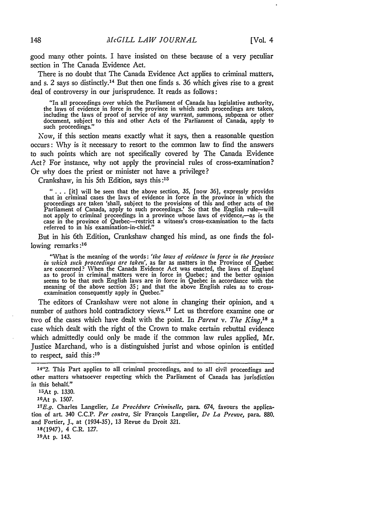good many other points. I have insisted on these because of a very peculiar section in The Canada Evidence Act.

There is no doubt that The Canada Evidence Act applies to criminal matters, and s. 2 says so distinctly. 14 But then one finds s. 36 which gives rise to a great deal of controversy in our jurisprudence. It reads as follows:

"In all proceedings over which the Parliament of Canada has legislative authority, the laws of evidence in force in the province in which such proceedings are taken, including the laws of proof of service of any warrant, summons, subpona or other document, subject to this and other Acts of the Parliament of Canada, apply to such proceedings."

Now, if this section means exactly what it says, then a reasonable question occurs: Why is it necessary to resort to the common law to find the answers to such points which are not specifically covered by The Canada Evidence Act? For instance, why not apply the provincial rules of cross-examination? Or why does the priest or minister not have a privilege?

Crankshaw, in his 5th Edition, says this **:15**

**" . . .** [it] will be seen that the above section, 35, [now 36], expressly provides that in criminal cases the laws of evidence in force in the province in which the proceedings are taken 'shall, subject to the provisions of this and other acts of the<br>Parliament of Canada, apply to such proceedings.' So that the English rule—will<br>not apply to criminal proceedings in a province whose la case in the province of Quebec-restrict a witness's cross-examination to the facts referred to in his examination-in-chief."

But in his 6th Edition, Crankshaw changed his mind, as one finds the following remarks:<sup>16</sup>

"What is the meaning of the words: *'the laws of evidence in force in the province in which such proceedings are taken',* as far as matters in the Province of Quebec are concerned? When the Canada Evidence Act was enacted, the laws of England as to proof in criminal matters were in force in Quebec; and the better opinion seems to be that such English laws are in force in Quebec in accordance with the meaning of the above section **35;** and that the above English rules as to cross-examination consequently apply in Quebec."

The editors of Crankshaw were not alone in changing their opinion, and a number of authors hold contradictory views.<sup>17</sup> Let us therefore examine one or two of the cases which have dealt with the point. In *Parent v. The King,'8 a* case which dealt with the right of the Crown to make certain rebuttal evidence which admittedly could only be made if the common law rules applied, Mr. Justice Marchand, who is a distinguished jurist and whose opinion is entitled to respect, said this **:9**

**18(1947),** 4 C.R. **127.**

1OAt **p.** 143.

<sup>14&</sup>quot;2. This Part applies to all criminal proceedings, and to all civil proceedings and other matters whatsoever respecting which the Parliament of Canada has jurisdiction in this behalf."

<sup>15</sup>At **p. 1330.**

<sup>16</sup>At p. 1507.

*<sup>1</sup>***7 E.g.** Charles Langelier, *La Procidure Criminelle,* para. 674, favours the application of art. 340 **C.C.P.** *Per contra,* Sir Franqois Langelier, *De La Preuve,* para. **880.** and Fortier, **J.,** at **(1934-35), 13** Revue du Droit **321.**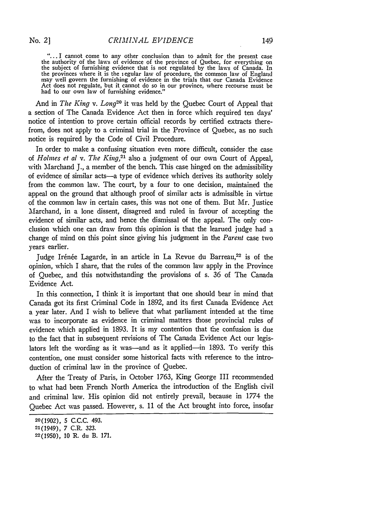"... I cannot come to any other conclusion than to admit for the present case the authority of the laws of evidence of the province of Quebec, for everything on the subject of furnishing evidence that is not regulated by the laws of Canada. In the provinces where it is the iegular law of procedure, the common law of England may well govern the furnishing of evidence in the trials that our Canada Evidence Act does not regulate, but it cannot do so in our province, where recourse must be had to our own law of furnishing evidence.'

And in *The King v. Long20* it was held by the Quebec Court of Appeal that a section of The Canada Evidence Act then in force which required ten days' notice of intention to prove certain official records by certified extracts therefrom, does not apply to a criminal trial in the Province of Quebec, as no such notice is required by the Code of Civil Procedure.

In order to make a confusing situation even more difficult, consider the case of *Holmes et al v. The King,21* also a judgment of our own Court of Appeal, with Marchand J., a member of the bench. This case hinged on the admissibility of evidence of similar acts-a type of evidence which derives its authority solely from the common law. The court, by a four to one decision, maintained the appeal on the ground that although proof of similar acts is admissible in virtue of the common law in certain cases, this was not one of them. But Mr. Justice Marchand, in a lone dissent, disagreed and ruled in favour of accepting the evidence of similar acts, and hence the dismissal of the appeal. The only conclusion which one can draw from this opinion is that the learned judge had a change of mind on this point since giving his judgment in the *Parent* case two years earlier.

Judge Irénée Lagarde, in an article in La Revue du Barreau,<sup>22</sup> is of the opinion, which I share, that the rules of the common law apply in the Province of Quebec, and this notwithstanding the provisions of s. 36 of The Canada Evidence Act.

In this connection, I think it is important that one should bear in mind that Canada got its first Criminal Code in 1892, and its first Canada Evidence Act a year later. And I wish to believe that what parliament intended at the time was to incorporate as evidence in criminal matters those provincial rules of evidence which applied in 1893. It is my contention that the confusion is due to the fact that in subsequent revisions of The Canada Evidence Act our legislators left the wording as it was-and as it applied-in 1893. To verify this contention, one must consider some historical facts with reference to the introduction of criminal law in the province of Quebec.

After the Treaty of Paris, in October 1763, King George III recommended to what had been French North America the introduction of the English civil and criminal law. His opinion did not entirely prevail, because in 1774 the Quebec Act was passed. However, s. 11 of the Act brought into force, insofar

**<sup>20(1902),</sup>** 5 C.C.C. 493.

<sup>21(1949),</sup> *7* C.R. **323.**

**<sup>22(1950),</sup>** 10 R. du B. 171.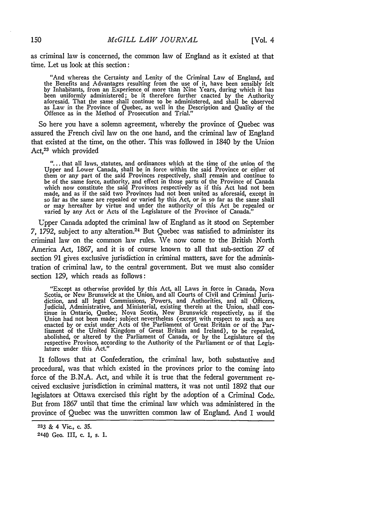as criminal law is concerned, the common lav of England as it existed at that time. Let us look at this section:

"And whereas the Certainty and Lenity of the Criminal Law of England, and the Benefits and Advantages resulting from the use of it, have been sensibly felt by Inhabitants, from an Experience of more than Nine Years, during which it has been uniformly administered; be it therefore further enacted by the Authority<br>aforesaid. That the same shall continue to be administered, and shall be observed<br>as Law in the Province of Quebec, as well in the Description a

So here you have a solemn agreement, whereby the province of Quebec was assured the French civil law on the one hand, and the criminal law of England that existed at the time, on the other. This was followed in 1840 by the Union Act,<sup>23</sup> which provided

"...that all laws, statutes, and ordinances which at the time of the union of +he Upper and Lower Canada, shall be in force within the said Province or either of them or any part of the said Provinces respectively, shall remain and continue to be of the same force, authority, and effect in those parts of the Province of Canada which now constitute the said Provinces respectively as if this Act had not been made, and as if the said two Provinces had not been united as aforesaid, except in so far as the same are repealed or varied by this Act, or in so far as the same shall or may hereafter by virtue and under the authority of this Act be repealed or varied by any Act or Acts of the Legislature of the Province of Canada."

Upper Canada adopted the criminal law of England as it stood on September *7,* 1792, subject to any alteration.24 But Quebec was satisfied to administer its criminal laws on the common law rules. We now come to the British North America Act, 1867, and it is of course known to all that sub-section **27** of section 91 gives exclusive jurisdiction in criminal matters, save for the administration of criminal law, to the central government. But we must also consider section 129, which reads as follows:

"Except as otherwise provided by this Act, all Laws in force in Canada, Nova Scotia, or New Brunswick at the Union, and all Courts of Civil and Criminal Jurisdiction, and all legal Commissions, Powers, and Authorities, and all Officers, Judicial, Administrative, and Ministerial, existing therein at the Union, shall continue in Ontario, Quebec, Nova Scotia, New Brunswick respectively, as if the Union had not been made; subject nevertheless (except with respect to such as are enacted by or exist under Acts of the Parliament of Great Brita abolished, or altered by the Parliament of Canada, or by the Legislature of the respective Province, according to the Authority of the Parliament or of that Legislature under this Act."

It follows that at Confederation, the criminal law, both substantive and procedural, was that which existed in the provinces prior to the coming into force of the B.N.A. Act, and while it is true that the federal government received exclusive jurisdiction in criminal matters, it was not until 1892 that our legislators at Ottawa exercised this right by the adoption of a Criminal Code. But from 1867 until that time the criminal law which was administered in the province of Quebec was the unwritten common law of England. And I would

**<sup>233</sup>** & 4 Vic., c. **35.**

<sup>2440</sup> Geo. III, c. 1, s. 1.